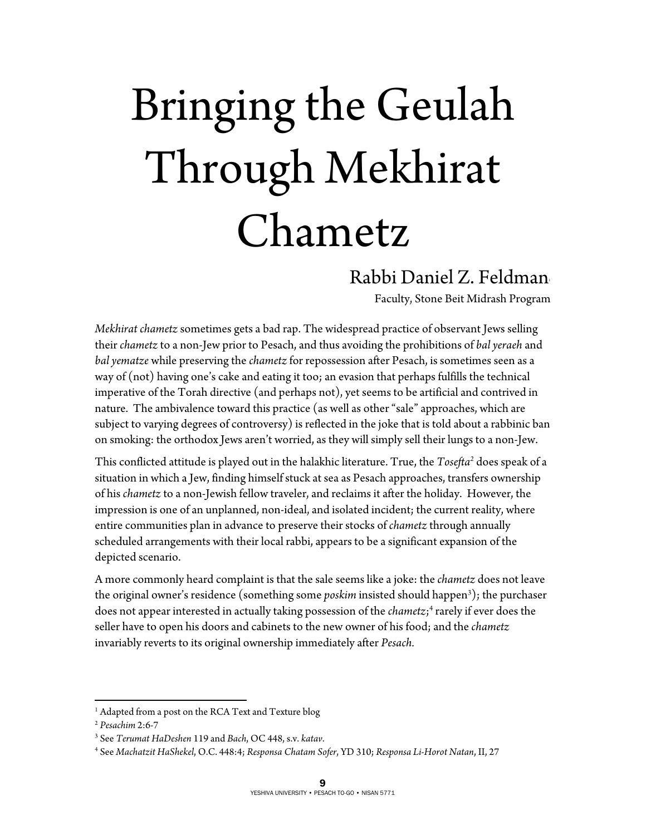## Bringing the Geulah Through Mekhirat Chametz

## Rabbi Daniel Z. Feldman1

Faculty, Stone Beit Midrash Program

*Mekhirat chametz* sometimes gets a bad rap. The widespread practice of observant Jews selling their *chametz* to a non-Jew prior to Pesach, and thus avoiding the prohibitions of *bal yeraeh* and *bal yematze* while preserving the *chametz* for repossession after Pesach, is sometimes seen as a way of (not) having one's cake and eating it too; an evasion that perhaps fulfills the technical imperative of the Torah directive (and perhaps not), yet seems to be artificial and contrived in nature. The ambivalence toward this practice (as well as other "sale" approaches, which are subject to varying degrees of controversy) is reflected in the joke that is told about a rabbinic ban on smoking: the orthodox Jews aren't worried, as they will simply sell their lungs to a non-Jew.

This conflicted attitude is played out in the halakhic literature. True, the *Tosefta2* does speak of a situation in which a Jew, finding himself stuck at sea as Pesach approaches, transfers ownership of his *chametz* to a non-Jewish fellow traveler, and reclaims it after the holiday. However, the impression is one of an unplanned, non-ideal, and isolated incident; the current reality, where entire communities plan in advance to preserve their stocks of *chametz* through annually scheduled arrangements with their local rabbi, appears to be a significant expansion of the depicted scenario.

A more commonly heard complaint is that the sale seems like a joke: the *chametz* does not leave the original owner's residence (something some *poskim* insisted should happen3 ); the purchaser does not appear interested in actually taking possession of the *chametz*; <sup>4</sup> rarely if ever does the seller have to open his doors and cabinets to the new owner of his food; and the *chametz*  invariably reverts to its original ownership immediately after *Pesach.* 

 $\overline{a}$ 

<sup>&</sup>lt;sup>1</sup> Adapted from a post on the RCA Text and Texture blog

<sup>&</sup>lt;sup>2</sup> Pesachim 2:6-7

See *Terumat HaDeshen* 119 and *Bach*, OC 448, s.v. *katav*. 4

See *Machatzit HaShekel*, O.C. 448:4; *Responsa Chatam Sofer*, YD 310; *Responsa Li-Horot Natan*, II, 27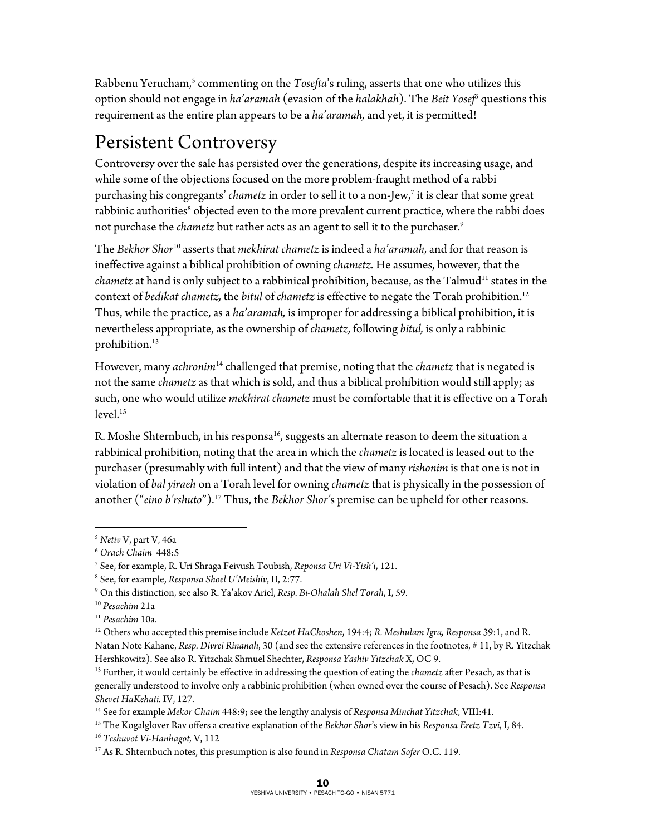Rabbenu Yerucham,<sup>5</sup> commenting on the *Tosefta*'s ruling, asserts that one who utilizes this option should not engage in *ha'aramah* (evasion of the *halakhah*). The *Beit Yosef6* questions this requirement as the entire plan appears to be a *ha'aramah,* and yet, it is permitted!

## Persistent Controversy

Controversy over the sale has persisted over the generations, despite its increasing usage, and while some of the objections focused on the more problem-fraught method of a rabbi purchasing his congregants' *chametz* in order to sell it to a non-Jew,7 it is clear that some great rabbinic authorities $^{\rm 8}$  objected even to the more prevalent current practice, where the rabbi does not purchase the *chametz* but rather acts as an agent to sell it to the purchaser.9

The *Bekhor Shor*<sup>10</sup> asserts that *mekhirat chametz* is indeed a *ha'aramah,* and for that reason is ineffective against a biblical prohibition of owning *chametz.* He assumes, however, that the *chametz* at hand is only subject to a rabbinical prohibition, because, as the Talmud<sup>11</sup> states in the context of *bedikat chametz,* the *bitul* of *chametz* is effective to negate the Torah prohibition.12 Thus, while the practice, as a *ha'aramah,* is improper for addressing a biblical prohibition, it is nevertheless appropriate, as the ownership of *chametz,* following *bitul,* is only a rabbinic prohibition.13

However, many *achronim*<sup>14</sup> challenged that premise, noting that the *chametz* that is negated is not the same *chametz* as that which is sold, and thus a biblical prohibition would still apply; as such, one who would utilize *mekhirat chametz* must be comfortable that it is effective on a Torah  $level<sup>15</sup>$ 

R. Moshe Shternbuch, in his responsa<sup>16</sup>, suggests an alternate reason to deem the situation a rabbinical prohibition, noting that the area in which the *chametz* is located is leased out to the purchaser (presumably with full intent) and that the view of many *rishonim* is that one is not in violation of *bal yiraeh* on a Torah level for owning *chametz* that is physically in the possession of another ("*eino b'rshuto*").17 Thus, the *Bekhor Shor'*s premise can be upheld for other reasons.

<sup>1</sup> <sup>5</sup> Netiv V, part V, 46a<br><sup>6</sup> Orach Chaim 448:5

See, for example, R. Uri Shraga Feivush Toubish, *Reponsa Uri Vi-Yish'i*, 121. 8

<sup>&</sup>lt;sup>8</sup> See, for example, *Responsa Shoel U'Meishiv*, II, 2:77.<br><sup>9</sup> On this distinction, see also R. Ya'akov Ariel, *Resp. Bi-Ohalah Shel Torah*, I, 59.

<sup>&</sup>lt;sup>10</sup> Pesachim 21a<br><sup>11</sup> Pesachim 10a.<br><sup>12</sup> Others who accepted this premise include *Ketzot HaChoshen,* 194:4; *R. Meshulam Igra, Responsa* 39:1, and R. Natan Note Kahane, *Resp. Divrei Rinanah*, 30 (and see the extensive references in the footnotes, # 11, by R. Yitzchak

Hershkowitz). See also R. Yitzchak Shmuel Shechter, *Responsa Yashiv Yitzchak* X, OC 9. 13 Further, it would certainly be effective in addressing the question of eating the *chametz* after Pesach, as that is generally understood to involve only a rabbinic prohibition (when owned over the course of Pesach). See *Responsa* 

Shevet HaKehati. IV, 127.<br><sup>14</sup> See for example Mekor Chaim 448:9; see the lengthy analysis of Responsa Minchat Yitzchak, VIII:41.<br><sup>15</sup> The Kogalglover Rav offers a creative explanation of the *Bekhor Shor's* view in his Re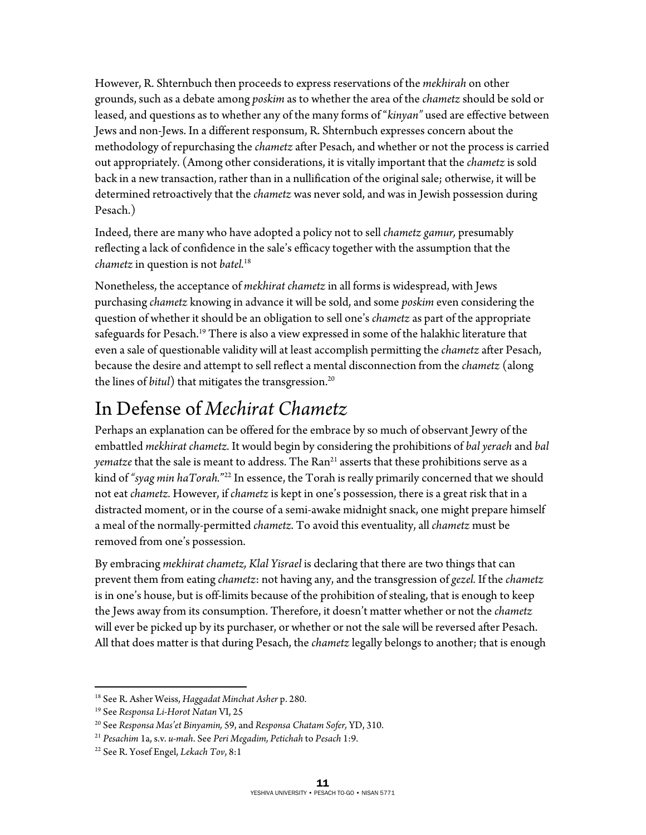However, R. Shternbuch then proceeds to express reservations of the *mekhirah* on other grounds, such as a debate among *poskim* as to whether the area of the *chametz* should be sold or leased, and questions as to whether any of the many forms of "*kinyan"* used are effective between Jews and non-Jews. In a different responsum, R. Shternbuch expresses concern about the methodology of repurchasing the *chametz* after Pesach, and whether or not the process is carried out appropriately. (Among other considerations, it is vitally important that the *chametz* is sold back in a new transaction, rather than in a nullification of the original sale; otherwise, it will be determined retroactively that the *chametz* was never sold, and was in Jewish possession during Pesach.)

Indeed, there are many who have adopted a policy not to sell *chametz gamur,* presumably reflecting a lack of confidence in the sale's efficacy together with the assumption that the *chametz* in question is not *batel.*18

Nonetheless, the acceptance of *mekhirat chametz* in all forms is widespread, with Jews purchasing *chametz* knowing in advance it will be sold, and some *poskim* even considering the question of whether it should be an obligation to sell one's *chametz* as part of the appropriate safeguards for Pesach.<sup>19</sup> There is also a view expressed in some of the halakhic literature that even a sale of questionable validity will at least accomplish permitting the *chametz* after Pesach, because the desire and attempt to sell reflect a mental disconnection from the *chametz* (along the lines of *bitul*) that mitigates the transgression.<sup>20</sup>

## In Defense of *Mechirat Chametz*

Perhaps an explanation can be offered for the embrace by so much of observant Jewry of the embattled *mekhirat chametz.* It would begin by considering the prohibitions of *bal yeraeh* and *bal yematze* that the sale is meant to address. The Ran<sup>21</sup> asserts that these prohibitions serve as a kind of *"syag min haTorah.*"22 In essence, the Torah is really primarily concerned that we should not eat *chametz.* However, if *chametz* is kept in one's possession, there is a great risk that in a distracted moment, or in the course of a semi-awake midnight snack, one might prepare himself a meal of the normally-permitted *chametz.* To avoid this eventuality, all *chametz* must be removed from one's possession.

By embracing *mekhirat chametz, Klal Yisrael* is declaring that there are two things that can prevent them from eating *chametz*: not having any, and the transgression of *gezel.* If the *chametz*  is in one's house, but is off-limits because of the prohibition of stealing, that is enough to keep the Jews away from its consumption. Therefore, it doesn't matter whether or not the *chametz*  will ever be picked up by its purchaser, or whether or not the sale will be reversed after Pesach. All that does matter is that during Pesach, the *chametz* legally belongs to another; that is enough

 $\overline{a}$ 

<sup>&</sup>lt;sup>18</sup> See R. Asher Weiss, *Haggadat Minchat Asher* p. 280.<br><sup>19</sup> See *Responsa Li-Horot Natan VI*, 25<br><sup>20</sup> See *Responsa Mas'et Binyamin*, 59, and *Responsa Chatam Sofer*, YD, 310.<br><sup>21</sup> Pesachim 1a, s.v. *u-mah.* See *Peri*